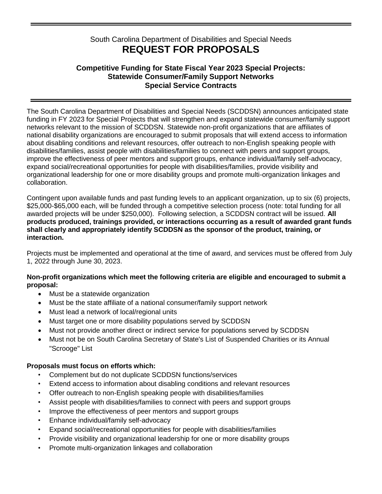# South Carolina Department of Disabilities and Special Needs **REQUEST FOR PROPOSALS**

### **Competitive Funding for State Fiscal Year 2023 Special Projects: Statewide Consumer/Family Support Networks Special Service Contracts**

The South Carolina Department of Disabilities and Special Needs (SCDDSN) announces anticipated state funding in FY 2023 for Special Projects that will strengthen and expand statewide consumer/family support networks relevant to the mission of SCDDSN. Statewide non-profit organizations that are affiliates of national disability organizations are encouraged to submit proposals that will extend access to information about disabling conditions and relevant resources, offer outreach to non-English speaking people with disabilities/families, assist people with disabilities/families to connect with peers and support groups, improve the effectiveness of peer mentors and support groups, enhance individual/family self-advocacy, expand social/recreational opportunities for people with disabilities/families, provide visibility and organizational leadership for one or more disability groups and promote multi-organization linkages and collaboration.

Contingent upon available funds and past funding levels to an applicant organization, up to six (6) projects, \$25,000-\$65,000 each, will be funded through a competitive selection process (note: total funding for all awarded projects will be under \$250,000). Following selection, a SCDDSN contract will be issued. **All products produced, trainings provided, or interactions occurring as a result of awarded grant funds shall clearly and appropriately identify SCDDSN as the sponsor of the product, training, or interaction.**

Projects must be implemented and operational at the time of award, and services must be offered from July 1, 2022 through June 30, 2023.

### **Non-profit organizations which meet the following criteria are eligible and encouraged to submit a proposal:**

- Must be a statewide organization
- Must be the state affiliate of a national consumer/family support network
- Must lead a network of local/regional units
- Must target one or more disability populations served by SCDDSN
- Must not provide another direct or indirect service for populations served by SCDDSN
- Must not be on South Carolina Secretary of State's List of Suspended Charities or its Annual "Scrooge" List

# **Proposals must focus on efforts which:**

- Complement but do not duplicate SCDDSN functions/services
- Extend access to information about disabling conditions and relevant resources
- Offer outreach to non-English speaking people with disabilities/families
- Assist people with disabilities/families to connect with peers and support groups
- Improve the effectiveness of peer mentors and support groups
- Enhance individual/family self-advocacy
- Expand social/recreational opportunities for people with disabilities/families
- Provide visibility and organizational leadership for one or more disability groups
- Promote multi-organization linkages and collaboration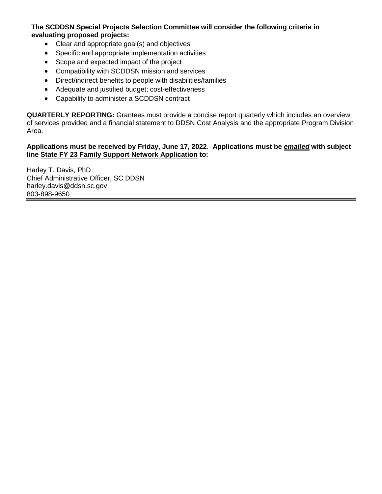**The SCDDSN Special Projects Selection Committee will consider the following criteria in evaluating proposed projects:**

- Clear and appropriate goal(s) and objectives
- Specific and appropriate implementation activities
- Scope and expected impact of the project
- Compatibility with SCDDSN mission and services
- Direct/indirect benefits to people with disabilities/families
- Adequate and justified budget; cost-effectiveness
- Capability to administer a SCDDSN contract

**QUARTERLY REPORTING:** Grantees must provide a concise report quarterly which includes an overview of services provided and a financial statement to DDSN Cost Analysis and the appropriate Program Division Area.

**Applications must be received by Friday, June 17, 2022**. **Applications must be** *emailed* **with subject line State FY 23 Family Support Network Application to:**

Harley T. Davis, PhD Chief Administrative Officer, SC DDSN harley.davis@ddsn.sc.gov 803-898-9650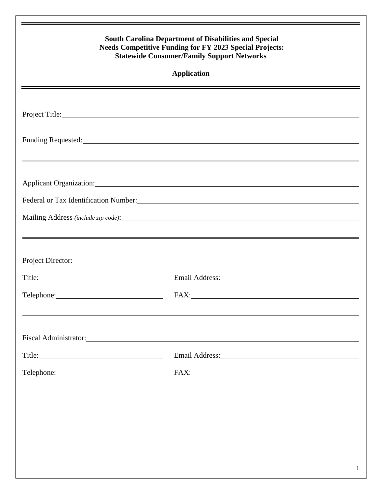|                                                                                                                                                                                                                                | <b>South Carolina Department of Disabilities and Special</b><br><b>Needs Competitive Funding for FY 2023 Special Projects:</b><br><b>Statewide Consumer/Family Support Networks</b>                                            |
|--------------------------------------------------------------------------------------------------------------------------------------------------------------------------------------------------------------------------------|--------------------------------------------------------------------------------------------------------------------------------------------------------------------------------------------------------------------------------|
|                                                                                                                                                                                                                                | <b>Application</b>                                                                                                                                                                                                             |
|                                                                                                                                                                                                                                |                                                                                                                                                                                                                                |
|                                                                                                                                                                                                                                | Project Title: New York: New York: New York: New York: New York: New York: New York: New York: New York: New York: New York: New York: New York: New York: New York: New York: New York: New York: New York: New York: New Yor |
|                                                                                                                                                                                                                                |                                                                                                                                                                                                                                |
|                                                                                                                                                                                                                                |                                                                                                                                                                                                                                |
|                                                                                                                                                                                                                                | <u> 1989 - Andrea Santa Alemania, amerikan basar dan berasal dalam berasal dalam berasal dalam berasal dalam bera</u>                                                                                                          |
|                                                                                                                                                                                                                                |                                                                                                                                                                                                                                |
|                                                                                                                                                                                                                                | Federal or Tax Identification Number: Manufacture of the Contract of Tax Identification Number:                                                                                                                                |
|                                                                                                                                                                                                                                | Mailing Address (include zip code):                                                                                                                                                                                            |
|                                                                                                                                                                                                                                |                                                                                                                                                                                                                                |
|                                                                                                                                                                                                                                |                                                                                                                                                                                                                                |
| Project Director: 2000 and 2000 and 2000 and 2000 and 2000 and 2000 and 2000 and 2000 and 2000 and 2000 and 2000 and 2000 and 2000 and 2000 and 2000 and 2000 and 2000 and 2000 and 2000 and 2000 and 2000 and 2000 and 2000 a |                                                                                                                                                                                                                                |
|                                                                                                                                                                                                                                | Email Address: No. 1996. The Manual Address: No. 1997. The Manual Address: No. 1997. The Manual Address: No. 1997. The Manual Address: No. 1997. The Manual Address: No. 1997. The Manual Address: No. 1997. The Manual Addres |
|                                                                                                                                                                                                                                | Telephone: FAX: FAX:                                                                                                                                                                                                           |
|                                                                                                                                                                                                                                |                                                                                                                                                                                                                                |
|                                                                                                                                                                                                                                |                                                                                                                                                                                                                                |
| Fiscal Administrator: No. 1996. The Contract of the Contract of the Contract of the Contract of the Contract of the Contract of the Contract of the Contract of the Contract of the Contract of the Contract of the Contract o |                                                                                                                                                                                                                                |
|                                                                                                                                                                                                                                | Email Address: No. 1998. The Manual Address: No. 1998. The Manual Address: No. 1998. The Manual Address: No. 1998. The Manual Address: No. 1999. The Manual Address: No. 1999. The Manual Address: No. 1999. The Manual Addres |
|                                                                                                                                                                                                                                | FAX: The contract of the contract of the contract of the contract of the contract of the contract of the contract of the contract of the contract of the contract of the contract of the contract of the contract of the contr |
|                                                                                                                                                                                                                                |                                                                                                                                                                                                                                |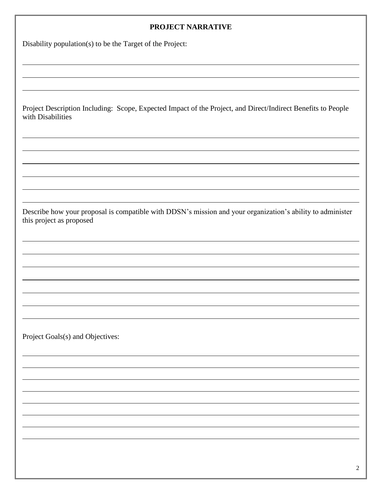### **PROJECT NARRATIVE**

Disability population(s) to be the Target of the Project:

Project Description Including: Scope, Expected Impact of the Project, and Direct/Indirect Benefits to People with Disabilities

Describe how your proposal is compatible with DDSN's mission and your organization's ability to administer this project as proposed

Project Goals(s) and Objectives: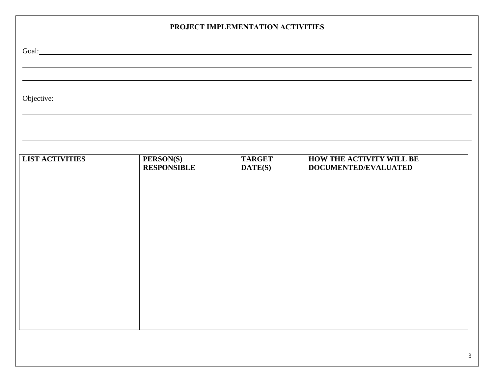# **PROJECT IMPLEMENTATION ACTIVITIES**

| Goal: Contract Contract Contract Contract Contract Contract Contract Contract Contract Contract Contract Contract Contract Contract Contract Contract Contract Contract Contract Contract Contract Contract Contract Contract |                                                                                                                                                                                                                                |                          |                                                  |  |
|-------------------------------------------------------------------------------------------------------------------------------------------------------------------------------------------------------------------------------|--------------------------------------------------------------------------------------------------------------------------------------------------------------------------------------------------------------------------------|--------------------------|--------------------------------------------------|--|
|                                                                                                                                                                                                                               | Objective: New York: New York: New York: New York: New York: New York: New York: New York: New York: New York: New York: New York: New York: New York: New York: New York: New York: New York: New York: New York: New York: N |                          |                                                  |  |
|                                                                                                                                                                                                                               |                                                                                                                                                                                                                                |                          |                                                  |  |
| <b>LIST ACTIVITIES</b>                                                                                                                                                                                                        | PERSON(S)<br><b>RESPONSIBLE</b>                                                                                                                                                                                                | <b>TARGET</b><br>DATE(S) | HOW THE ACTIVITY WILL BE<br>DOCUMENTED/EVALUATED |  |
|                                                                                                                                                                                                                               |                                                                                                                                                                                                                                |                          |                                                  |  |
|                                                                                                                                                                                                                               |                                                                                                                                                                                                                                |                          |                                                  |  |
|                                                                                                                                                                                                                               |                                                                                                                                                                                                                                |                          |                                                  |  |
|                                                                                                                                                                                                                               |                                                                                                                                                                                                                                |                          |                                                  |  |
|                                                                                                                                                                                                                               |                                                                                                                                                                                                                                |                          |                                                  |  |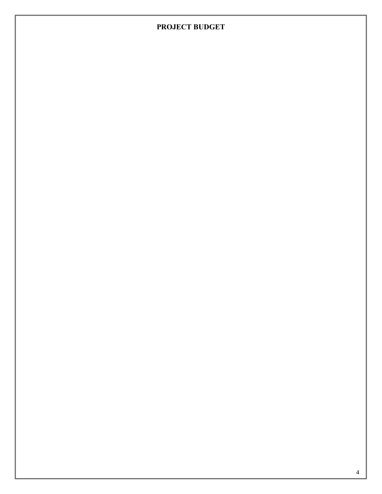## **PROJECT BUDGET**